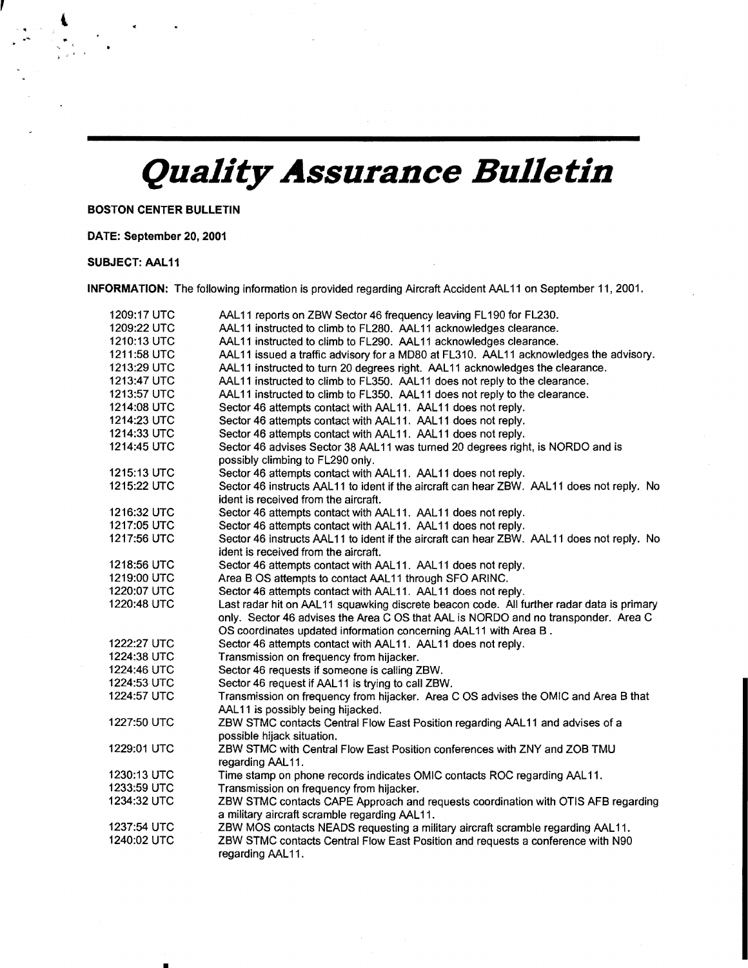## *Quality Assurance Bulletin*

BOSTON CENTER BUllETIN

•

## DATE: September 20,2001

## SUBJECT: AAl11

 $\mathbf{I}$ 

INFORMATION: The following information is provided regarding Aircraft Accident AAL 11 on September 11, 2001.

| 1209:17 UTC | AAL11 reports on ZBW Sector 46 frequency leaving FL190 for FL230.                         |
|-------------|-------------------------------------------------------------------------------------------|
| 1209:22 UTC | AAL11 instructed to climb to FL280. AAL11 acknowledges clearance.                         |
| 1210:13 UTC | AAL11 instructed to climb to FL290. AAL11 acknowledges clearance.                         |
| 1211:58 UTC | AAL11 issued a traffic advisory for a MD80 at FL310. AAL11 acknowledges the advisory.     |
| 1213:29 UTC | AAL11 instructed to turn 20 degrees right. AAL11 acknowledges the clearance.              |
| 1213:47 UTC | AAL11 instructed to climb to FL350. AAL11 does not reply to the clearance.                |
| 1213:57 UTC | AAL11 instructed to climb to FL350. AAL11 does not reply to the clearance.                |
| 1214:08 UTC | Sector 46 attempts contact with AAL11. AAL11 does not reply.                              |
| 1214:23 UTC | Sector 46 attempts contact with AAL11. AAL11 does not reply.                              |
| 1214:33 UTC | Sector 46 attempts contact with AAL11. AAL11 does not reply.                              |
| 1214:45 UTC | Sector 46 advises Sector 38 AAL11 was turned 20 degrees right, is NORDO and is            |
|             | possibly climbing to FL290 only.                                                          |
| 1215:13 UTC | Sector 46 attempts contact with AAL11. AAL11 does not reply.                              |
| 1215:22 UTC | Sector 46 instructs AAL11 to ident if the aircraft can hear ZBW. AAL11 does not reply. No |
|             | ident is received from the aircraft.                                                      |
| 1216:32 UTC | Sector 46 attempts contact with AAL11. AAL11 does not reply.                              |
| 1217:05 UTC | Sector 46 attempts contact with AAL11. AAL11 does not reply.                              |
| 1217:56 UTC | Sector 46 instructs AAL11 to ident if the aircraft can hear ZBW. AAL11 does not reply. No |
|             | ident is received from the aircraft.                                                      |
| 1218:56 UTC | Sector 46 attempts contact with AAL11. AAL11 does not reply.                              |
| 1219:00 UTC | Area B OS attempts to contact AAL11 through SFO ARINC.                                    |
| 1220:07 UTC | Sector 46 attempts contact with AAL11. AAL11 does not reply.                              |
| 1220:48 UTC | Last radar hit on AAL11 squawking discrete beacon code. All further radar data is primary |
|             | only. Sector 46 advises the Area C OS that AAL is NORDO and no transponder. Area C        |
|             | OS coordinates updated information concerning AAL11 with Area B.                          |
| 1222:27 UTC | Sector 46 attempts contact with AAL11. AAL11 does not reply.                              |
| 1224:38 UTC | Transmission on frequency from hijacker.                                                  |
| 1224:46 UTC | Sector 46 requests if someone is calling ZBW.                                             |
| 1224:53 UTC | Sector 46 request if AAL11 is trying to call ZBW.                                         |
| 1224:57 UTC | Transmission on frequency from hijacker. Area C OS advises the OMIC and Area B that       |
|             | AAL11 is possibly being hijacked.                                                         |
| 1227:50 UTC | ZBW STMC contacts Central Flow East Position regarding AAL11 and advises of a             |
|             | possible hijack situation.                                                                |
| 1229:01 UTC | ZBW STMC with Central Flow East Position conferences with ZNY and ZOB TMU                 |
|             | regarding AAL11.                                                                          |
| 1230:13 UTC | Time stamp on phone records indicates OMIC contacts ROC regarding AAL11.                  |
| 1233:59 UTC | Transmission on frequency from hijacker.                                                  |
| 1234:32 UTC | ZBW STMC contacts CAPE Approach and requests coordination with OTIS AFB regarding         |
|             | a military aircraft scramble regarding AAL11.                                             |
| 1237:54 UTC | ZBW MOS contacts NEADS requesting a military aircraft scramble regarding AAL11.           |
| 1240:02 UTC | ZBW STMC contacts Central Flow East Position and requests a conference with N90           |
|             | regarding AAL11.                                                                          |